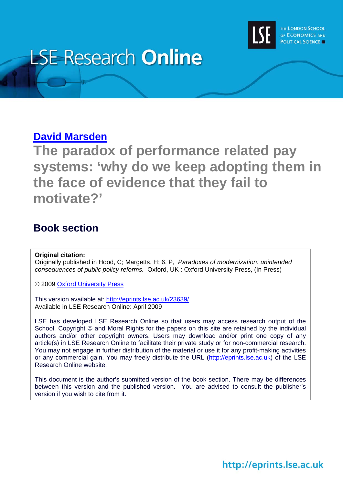

# **LSE Research Online**

## **[David Marsden](http://www2.lse.ac.uk/researchAndExpertise/Experts/profile.aspx?KeyValue=d.marsden@lse.ac.uk)**

**The paradox of performance related pay systems: 'why do we keep adopting them in the face of evidence that they fail to motivate?'** 

## **Book section**

#### **Original citation:**

Originally published in Hood, C; Margetts, H; 6, P, *Paradoxes of modernization: unintended consequences of public policy reforms.* Oxford, UK : Oxford University Press, (In Press)

© 2009 [Oxford University Press](http://www.oup.co.uk/)

This version available at:<http://eprints.lse.ac.uk/23639/> Available in LSE Research Online: April 2009

LSE has developed LSE Research Online so that users may access research output of the School. Copyright © and Moral Rights for the papers on this site are retained by the individual authors and/or other copyright owners. Users may download and/or print one copy of any article(s) in LSE Research Online to facilitate their private study or for non-commercial research. You may not engage in further distribution of the material or use it for any profit-making activities or any commercial gain. You may freely distribute the URL (http://eprints.lse.ac.uk) of the LSE Research Online website.

This document is the author's submitted version of the book section. There may be differences between this version and the published version. You are advised to consult the publisher's version if you wish to cite from it.

http://eprints.lse.ac.uk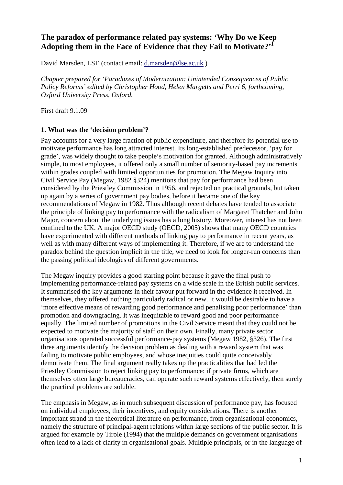### **The paradox of performance related pay systems: 'Why Do we Keep Adopting them in the Face of Evidence that they Fail to Motivate?'<sup>1</sup>**

David Marsden, LSE (contact email: d.marsden@lse.ac.uk )

*Chapter prepared for 'Paradoxes of Modernization: Unintended Consequences of Public Policy Reforms' edited by Christopher Hood, Helen Margetts and Perri 6, forthcoming, Oxford University Press, Oxford.* 

First draft 9.1.09

#### **1. What was the 'decision problem'?**

Pay accounts for a very large fraction of public expenditure, and therefore its potential use to motivate performance has long attracted interest. Its long-established predecessor, 'pay for grade', was widely thought to take people's motivation for granted. Although administratively simple, to most employees, it offered only a small number of seniority-based pay increments within grades coupled with limited opportunities for promotion. The Megaw Inquiry into Civil Service Pay (Megaw, 1982 §324) mentions that pay for performance had been considered by the Priestley Commission in 1956, and rejected on practical grounds, but taken up again by a series of government pay bodies, before it became one of the key recommendations of Megaw in 1982. Thus although recent debates have tended to associate the principle of linking pay to performance with the radicalism of Margaret Thatcher and John Major, concern about the underlying issues has a long history. Moreover, interest has not been confined to the UK. A major OECD study (OECD, 2005) shows that many OECD countries have experimented with different methods of linking pay to performance in recent years, as well as with many different ways of implementing it. Therefore, if we are to understand the paradox behind the question implicit in the title, we need to look for longer-run concerns than the passing political ideologies of different governments.

The Megaw inquiry provides a good starting point because it gave the final push to implementing performance-related pay systems on a wide scale in the British public services. It summarised the key arguments in their favour put forward in the evidence it received. In themselves, they offered nothing particularly radical or new. It would be desirable to have a 'more effective means of rewarding good performance and penalising poor performance' than promotion and downgrading. It was inequitable to reward good and poor performance equally. The limited number of promotions in the Civil Service meant that they could not be expected to motivate the majority of staff on their own. Finally, many private sector organisations operated successful performance-pay systems (Megaw 1982, §326). The first three arguments identify the decision problem as dealing with a reward system that was failing to motivate public employees, and whose inequities could quite conceivably demotivate them. The final argument really takes up the practicalities that had led the Priestley Commission to reject linking pay to performance: if private firms, which are themselves often large bureaucracies, can operate such reward systems effectively, then surely the practical problems are soluble.

The emphasis in Megaw, as in much subsequent discussion of performance pay, has focused on individual employees, their incentives, and equity considerations. There is another important strand in the theoretical literature on performance, from organisational economics, namely the structure of principal-agent relations within large sections of the public sector. It is argued for example by Tirole (1994) that the multiple demands on government organisations often lead to a lack of clarity in organisational goals. Multiple principals, or in the language of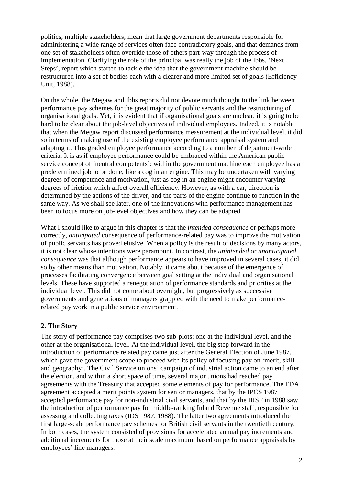politics, multiple stakeholders, mean that large government departments responsible for administering a wide range of services often face contradictory goals, and that demands from one set of stakeholders often override those of others part-way through the process of implementation. Clarifying the role of the principal was really the job of the Ibbs, 'Next Steps', report which started to tackle the idea that the government machine should be restructured into a set of bodies each with a clearer and more limited set of goals (Efficiency Unit, 1988).

On the whole, the Megaw and Ibbs reports did not devote much thought to the link between performance pay schemes for the great majority of public servants and the restructuring of organisational goals. Yet, it is evident that if organisational goals are unclear, it is going to be hard to be clear about the job-level objectives of individual employees. Indeed, it is notable that when the Megaw report discussed performance measurement at the individual level, it did so in terms of making use of the existing employee performance appraisal system and adapting it. This graded employee performance according to a number of department-wide criteria. It is as if employee performance could be embraced within the American public service concept of 'neutral competents': within the government machine each employee has a predetermined job to be done, like a cog in an engine. This may be undertaken with varying degrees of competence and motivation, just as cog in an engine might encounter varying degrees of friction which affect overall efficiency. However, as with a car, direction is determined by the actions of the driver, and the parts of the engine continue to function in the same way. As we shall see later, one of the innovations with performance management has been to focus more on job-level objectives and how they can be adapted.

What I should like to argue in this chapter is that the *intended consequence* or perhaps more correctly, *anticipated* consequence of performance-related pay was to improve the motivation of public servants has proved elusive. When a policy is the result of decisions by many actors, it is not clear whose intentions were paramount. In contrast, the *unintended* or *unanticipated consequence* was that although performance appears to have improved in several cases, it did so by other means than motivation. Notably, it came about because of the emergence of processes facilitating convergence between goal setting at the individual and organisational levels. These have supported a renegotiation of performance standards and priorities at the individual level. This did not come about overnight, but progressively as successive governments and generations of managers grappled with the need to make performancerelated pay work in a public service environment.

#### **2. The Story**

The story of performance pay comprises two sub-plots: one at the individual level, and the other at the organisational level. At the individual level, the big step forward in the introduction of performance related pay came just after the General Election of June 1987, which gave the government scope to proceed with its policy of focusing pay on 'merit, skill and geography'. The Civil Service unions' campaign of industrial action came to an end after the election, and within a short space of time, several major unions had reached pay agreements with the Treasury that accepted some elements of pay for performance. The FDA agreement accepted a merit points system for senior managers, that by the IPCS 1987 accepted performance pay for non-industrial civil servants, and that by the IRSF in 1988 saw the introduction of performance pay for middle-ranking Inland Revenue staff, responsible for assessing and collecting taxes (IDS 1987, 1988). The latter two agreements introduced the first large-scale performance pay schemes for British civil servants in the twentieth century. In both cases, the system consisted of provisions for accelerated annual pay increments and additional increments for those at their scale maximum, based on performance appraisals by employees' line managers.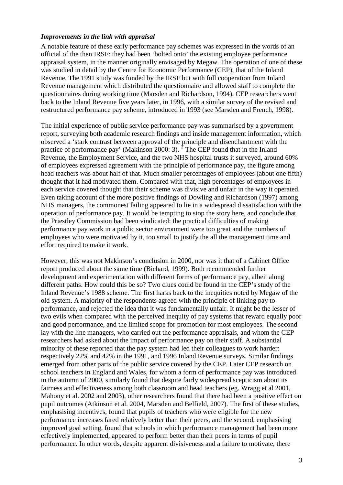#### *Improvements in the link with appraisal*

A notable feature of these early performance pay schemes was expressed in the words of an official of the then IRSF: they had been 'bolted onto' the existing employee performance appraisal system, in the manner originally envisaged by Megaw. The operation of one of these was studied in detail by the Centre for Economic Performance (CEP), that of the Inland Revenue. The 1991 study was funded by the IRSF but with full cooperation from Inland Revenue management which distributed the questionnaire and allowed staff to complete the questionnaires during working time (Marsden and Richardson, 1994). CEP researchers went back to the Inland Revenue five years later, in 1996, with a similar survey of the revised and restructured performance pay scheme, introduced in 1993 (see Marsden and French, 1998).

The initial experience of public service performance pay was summarised by a government report, surveying both academic research findings and inside management information, which observed a 'stark contrast between approval of the principle and disenchantment with the practice of performance pay' (Makinson 2000: 3). <sup>2</sup> The CEP found that in the Inland Revenue, the Employment Service, and the two NHS hospital trusts it surveyed, around 60% of employees expressed agreement with the principle of performance pay, the figure among head teachers was about half of that. Much smaller percentages of employees (about one fifth) thought that it had motivated them. Compared with that, high percentages of employees in each service covered thought that their scheme was divisive and unfair in the way it operated. Even taking account of the more positive findings of Dowling and Richardson (1997) among NHS managers, the commonest failing appeared to lie in a widespread dissatisfaction with the operation of performance pay. It would be tempting to stop the story here, and conclude that the Priestley Commission had been vindicated: the practical difficulties of making performance pay work in a public sector environment were too great and the numbers of employees who were motivated by it, too small to justify the all the management time and effort required to make it work.

However, this was not Makinson's conclusion in 2000, nor was it that of a Cabinet Office report produced about the same time (Bichard, 1999). Both recommended further development and experimentation with different forms of performance pay, albeit along different paths. How could this be so? Two clues could be found in the CEP's study of the Inland Revenue's 1988 scheme. The first harks back to the inequities noted by Megaw of the old system. A majority of the respondents agreed with the principle of linking pay to performance, and rejected the idea that it was fundamentally unfair. It might be the lesser of two evils when compared with the perceived inequity of pay systems that reward equally poor and good performance, and the limited scope for promotion for most employees. The second lay with the line managers, who carried out the performance appraisals, and whom the CEP researchers had asked about the impact of performance pay on their staff. A substantial minority of these reported that the pay system had led their colleagues to work harder: respectively 22% and 42% in the 1991, and 1996 Inland Revenue surveys. Similar findings emerged from other parts of the public service covered by the CEP. Later CEP research on school teachers in England and Wales, for whom a form of performance pay was introduced in the autumn of 2000, similarly found that despite fairly widespread scepticism about its fairness and effectiveness among both classroom and head teachers (eg. Wragg et al 2001, Mahony et al. 2002 and 2003), other researchers found that there had been a positive effect on pupil outcomes (Atkinson et al. 2004, Marsden and Belfield, 2007). The first of these studies, emphasising incentives, found that pupils of teachers who were eligible for the new performance increases fared relatively better than their peers, and the second, emphasising improved goal setting, found that schools in which performance management had been more effectively implemented, appeared to perform better than their peers in terms of pupil performance. In other words, despite apparent divisiveness and a failure to motivate, there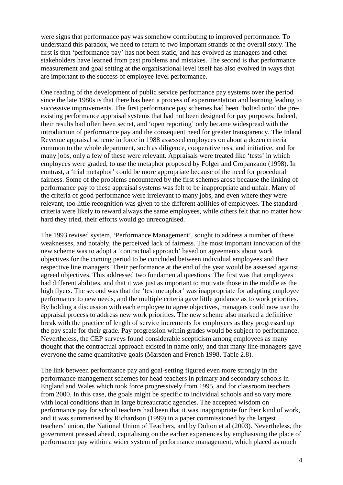were signs that performance pay was somehow contributing to improved performance. To understand this paradox, we need to return to two important strands of the overall story. The first is that 'performance pay' has not been static, and has evolved as managers and other stakeholders have learned from past problems and mistakes. The second is that performance measurement and goal setting at the organisational level itself has also evolved in ways that are important to the success of employee level performance.

One reading of the development of public service performance pay systems over the period since the late 1980s is that there has been a process of experimentation and learning leading to successive improvements. The first performance pay schemes had been 'bolted onto' the preexisting performance appraisal systems that had not been designed for pay purposes. Indeed, their results had often been secret, and 'open reporting' only became widespread with the introduction of performance pay and the consequent need for greater transparency. The Inland Revenue appraisal scheme in force in 1988 assessed employees on about a dozen criteria common to the whole department, such as diligence, cooperativeness, and initiative, and for many jobs, only a few of these were relevant. Appraisals were treated like 'tests' in which employees were graded, to use the metaphor proposed by Folger and Cropanzano (1998). In contrast, a 'trial metaphor' could be more appropriate because of the need for procedural fairness. Some of the problems encountered by the first schemes arose because the linking of performance pay to these appraisal systems was felt to be inappropriate and unfair. Many of the criteria of good performance were irrelevant to many jobs, and even where they were relevant, too little recognition was given to the different abilities of employees. The standard criteria were likely to reward always the same employees, while others felt that no matter how hard they tried, their efforts would go unrecognised.

The 1993 revised system, 'Performance Management', sought to address a number of these weaknesses, and notably, the perceived lack of fairness. The most important innovation of the new scheme was to adopt a 'contractual approach' based on agreements about work objectives for the coming period to be concluded between individual employees and their respective line managers. Their performance at the end of the year would be assessed against agreed objectives. This addressed two fundamental questions. The first was that employees had different abilities, and that it was just as important to motivate those in the middle as the high flyers. The second was that the 'test metaphor' was inappropriate for adapting employee performance to new needs, and the multiple criteria gave little guidance as to work priorities. By holding a discussion with each employee to agree objectives, managers could now use the appraisal process to address new work priorities. The new scheme also marked a definitive break with the practice of length of service increments for employees as they progressed up the pay scale for their grade. Pay progression within grades would be subject to performance. Nevertheless, the CEP surveys found considerable scepticism among employees as many thought that the contractual approach existed in name only, and that many line-managers gave everyone the same quantitative goals (Marsden and French 1998, Table 2.8).

The link between performance pay and goal-setting figured even more strongly in the performance management schemes for head teachers in primary and secondary schools in England and Wales which took force progressively from 1995, and for classroom teachers from 2000. In this case, the goals might be specific to individual schools and so vary more with local conditions than in large bureaucratic agencies. The accepted wisdom on performance pay for school teachers had been that it was inappropriate for their kind of work, and it was summarised by Richardson (1999) in a paper commissioned by the largest teachers' union, the National Union of Teachers, and by Dolton et al (2003). Nevertheless, the government pressed ahead, capitalising on the earlier experiences by emphasising the place of performance pay within a wider system of performance management, which placed as much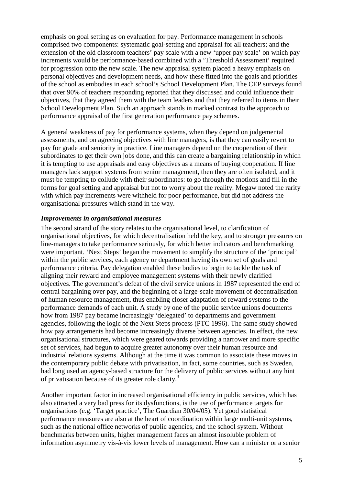emphasis on goal setting as on evaluation for pay. Performance management in schools comprised two components: systematic goal-setting and appraisal for all teachers; and the extension of the old classroom teachers' pay scale with a new 'upper pay scale' on which pay increments would be performance-based combined with a 'Threshold Assessment' required for progression onto the new scale. The new appraisal system placed a heavy emphasis on personal objectives and development needs, and how these fitted into the goals and priorities of the school as embodies in each school's School Development Plan. The CEP surveys found that over 90% of teachers responding reported that they discussed and could influence their objectives, that they agreed them with the team leaders and that they referred to items in their School Development Plan. Such an approach stands in marked contrast to the approach to performance appraisal of the first generation performance pay schemes.

A general weakness of pay for performance systems, when they depend on judgemental assessments, and on agreeing objectives with line managers, is that they can easily revert to pay for grade and seniority in practice. Line managers depend on the cooperation of their subordinates to get their own jobs done, and this can create a bargaining relationship in which it is tempting to use appraisals and easy objectives as a means of buying cooperation. If line managers lack support systems from senior management, then they are often isolated, and it must be tempting to collude with their subordinates: to go through the motions and fill in the forms for goal setting and appraisal but not to worry about the reality. Megaw noted the rarity with which pay increments were withheld for poor performance, but did not address the organisational pressures which stand in the way.

#### *Improvements in organisational measures*

The second strand of the story relates to the organisational level, to clarification of organisational objectives, for which decentralisation held the key, and to stronger pressures on line-managers to take performance seriously, for which better indicators and benchmarking were important. 'Next Steps' began the movement to simplify the structure of the 'principal' within the public services, each agency or department having its own set of goals and performance criteria. Pay delegation enabled these bodies to begin to tackle the task of aligning their reward and employee management systems with their newly clarified objectives. The government's defeat of the civil service unions in 1987 represented the end of central bargaining over pay, and the beginning of a large-scale movement of decentralisation of human resource management, thus enabling closer adaptation of reward systems to the performance demands of each unit. A study by one of the public service unions documents how from 1987 pay became increasingly 'delegated' to departments and government agencies, following the logic of the Next Steps process (PTC 1996). The same study showed how pay arrangements had become increasingly diverse between agencies. In effect, the new organisational structures, which were geared towards providing a narrower and more specific set of services, had begun to acquire greater autonomy over their human resource and industrial relations systems. Although at the time it was common to associate these moves in the contemporary public debate with privatisation, in fact, some countries, such as Sweden, had long used an agency-based structure for the delivery of public services without any hint of privatisation because of its greater role clarity.<sup>3</sup>

Another important factor in increased organisational efficiency in public services, which has also attracted a very bad press for its dysfunctions, is the use of performance targets for organisations (e.g. 'Target practice', The Guardian 30/04/05). Yet good statistical performance measures are also at the heart of coordination within large multi-unit systems, such as the national office networks of public agencies, and the school system. Without benchmarks between units, higher management faces an almost insoluble problem of information asymmetry vis-à-vis lower levels of management. How can a minister or a senior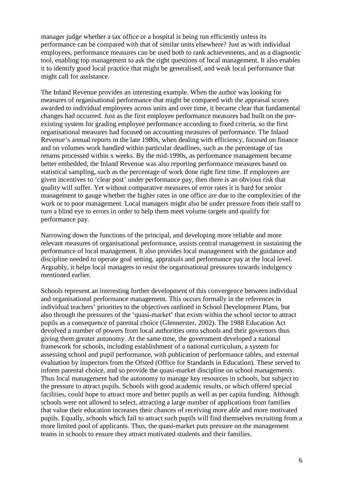manager judge whether a tax office or a hospital is being run efficiently unless its performance can be compared with that of similar units elsewhere? Just as with individual employees, performance measures can be used both to rank achievements, and as a diagnostic tool, enabling top management to ask the right questions of local management. It also enables it to identify good local practice that might be generalised, and weak local performance that might call for assistance.

The Inland Revenue provides an interesting example. When the author was looking for measures of organisational performance that might be compared with the appraisal scores awarded to individual employees across units and over time, it became clear that fundamental changes had occurred. Just as the first employee performance measures had built on the preexisting system for grading employee performance according to fixed criteria, so the first organisational measures had focused on accounting measures of performance. The Inland Revenue's annual reports in the late 1980s, when dealing with efficiency, focused on finance and on volumes work handled within particular deadlines, such as the percentage of tax returns processed within x weeks. By the mid-1990s, as performance management became better embedded, the Inland Revenue was also reporting performance measures based on statistical sampling, such as the percentage of work done right first time. If employees are given incentives to 'clear post' under performance pay, then there is an obvious risk that quality will suffer. Yet without comparative measures of error rates it is hard for senior management to gauge whether the higher rates in one office are due to the complexities of the work or to poor management. Local managers might also be under pressure from their staff to turn a blind eye to errors in order to help them meet volume targets and qualify for performance pay.

Narrowing down the functions of the principal, and developing more reliable and more relevant measures of organisational performance, assists central management in sustaining the performance of local management. It also provides local management with the guidance and discipline needed to operate goal setting, appraisals and performance pay at the local level. Arguably, it helps local managers to resist the organisational pressures towards indulgency mentioned earlier.

Schools represent an interesting further development of this convergence between individual and organisational performance management. This occurs formally in the references in individual teachers' priorities to the objectives outlined in School Development Plans, but also through the pressures of the 'quasi-market' that exists within the school sector to attract pupils as a consequence of parental choice (Glennerster, 2002). The 1988 Education Act devolved a number of powers from local authorities onto schools and their governors thus giving them greater autonomy. At the same time, the government developed a national framework for schools, including establishment of a national curriculum, a system for assessing school and pupil performance, with publication of performance tables, and external evaluation by inspectors from the Ofsted (Office for Standards in Education). These served to inform parental choice, and so provide the quasi-market discipline on school managements. Thus local management had the autonomy to manage key resources in schools, but subject to the pressure to attract pupils. Schools with good academic results, or which offered special facilities, could hope to attract more and better pupils as well as per capita funding. Although schools were not allowed to select, attracting a large number of applications from families that value their education increases their chances of receiving more able and more motivated pupils. Equally, schools which fail to attract such pupils will find themselves recruiting from a more limited pool of applicants. Thus, the quasi-market puts pressure on the management teams in schools to ensure they attract motivated students and their families.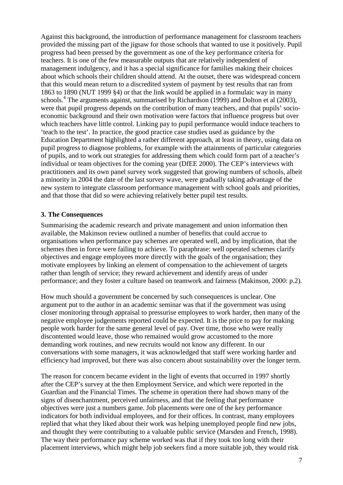Against this background, the introduction of performance management for classroom teachers provided the missing part of the jigsaw for those schools that wanted to use it positively. Pupil progress had been pressed by the government as one of the key performance criteria for teachers. It is one of the few measurable outputs that are relatively independent of management indulgency, and it has a special significance for families making their choices about which schools their children should attend. At the outset, there was widespread concern that this would mean return to a discredited system of payment by test results that ran from 1863 to 1890 (NUT 1999 §4) or that the link would be applied in a formulaic way in many schools.<sup>4</sup> The arguments against, summarised by Richardson (1999) and Dolton et al (2003), were that pupil progress depends on the contribution of many teachers, and that pupils' socioeconomic background and their own motivation were factors that influence progress but over which teachers have little control. Linking pay to pupil performance would induce teachers to 'teach to the test'. In practice, the good practice case studies used as guidance by the Education Department highlighted a rather different approach, at least in theory, using data on pupil progress to diagnose problems, for example with the attainments of particular categories of pupils, and to work out strategies for addressing them which could form part of a teacher's individual or team objectives for the coming year (DfEE 2000). The CEP's interviews with practitioners and its own panel survey work suggested that growing numbers of schools, albeit a minority in 2004 the date of the last survey wave, were gradually taking advantage of the new system to integrate classroom performance management with school goals and priorities, and that those that did so were achieving relatively better pupil test results.

#### **3. The Consequences**

Summarising the academic research and private management and union information then available, the Makinson review outlined a number of benefits that could accrue to organisations when performance pay schemes are operated well, and by implication, that the schemes then in force were failing to achieve. To paraphrase: well operated schemes clarify objectives and engage employees more directly with the goals of the organisation; they motivate employees by linking an element of compensation to the achievement of targets rather than length of service; they reward achievement and identify areas of under performance; and they foster a culture based on teamwork and fairness (Makinson, 2000: p.2).

How much should a government be concerned by such consequences is unclear. One argument put to the author in an academic seminar was that if the government was using closer monitoring through appraisal to pressurise employees to work harder, then many of the negative employee judgements reported could be expected. It is the price to pay for making people work harder for the same general level of pay. Over time, those who were really discontented would leave, those who remained would grow accustomed to the more demanding work routines, and new recruits would not know any different. In our conversations with some managers, it was acknowledged that staff were working harder and efficiency had improved, but there was also concern about sustainability over the longer term.

The reason for concern became evident in the light of events that occurred in 1997 shortly after the CEP's survey at the then Employment Service, and which were reported in the Guardian and the Financial Times. The scheme in operation there had shown many of the signs of disenchantment, perceived unfairness, and that the feeling that performance objectives were just a numbers game. Job placements were one of the key performance indicators for both individual employees, and for their offices. In contrast, many employees replied that what they liked about their work was helping unemployed people find new jobs, and thought they were contributing to a valuable public service (Marsden and French, 1998). The way their performance pay scheme worked was that if they took too long with their placement interviews, which might help job seekers find a more suitable job, they would risk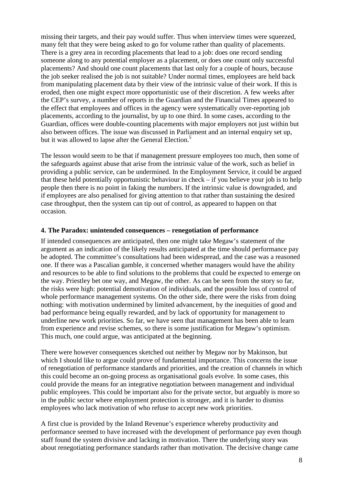missing their targets, and their pay would suffer. Thus when interview times were squeezed, many felt that they were being asked to go for volume rather than quality of placements. There is a grey area in recording placements that lead to a job: does one record sending someone along to any potential employer as a placement, or does one count only successful placements? And should one count placements that last only for a couple of hours, because the job seeker realised the job is not suitable? Under normal times, employees are held back from manipulating placement data by their view of the intrinsic value of their work. If this is eroded, then one might expect more opportunistic use of their discretion. A few weeks after the CEP's survey, a number of reports in the Guardian and the Financial Times appeared to the effect that employees and offices in the agency were systematically over-reporting job placements, according to the journalist, by up to one third. In some cases, according to the Guardian, offices were double-counting placements with major employers not just within but also between offices. The issue was discussed in Parliament and an internal enquiry set up, but it was allowed to lapse after the General Election.<sup>5</sup>

The lesson would seem to be that if management pressure employees too much, then some of the safeguards against abuse that arise from the intrinsic value of the work, such as belief in providing a public service, can be undermined. In the Employment Service, it could be argued that these held potentially opportunistic behaviour in check – if you believe your job is to help people then there is no point in faking the numbers. If the intrinsic value is downgraded, and if employees are also penalised for giving attention to that rather than sustaining the desired case throughput, then the system can tip out of control, as appeared to happen on that occasion.

#### **4. The Paradox: unintended consequences – renegotiation of performance**

If intended consequences are anticipated, then one might take Megaw's statement of the argument as an indication of the likely results anticipated at the time should performance pay be adopted. The committee's consultations had been widespread, and the case was a reasoned one. If there was a Pascalian gamble, it concerned whether managers would have the ability and resources to be able to find solutions to the problems that could be expected to emerge on the way. Priestley bet one way, and Megaw, the other. As can be seen from the story so far, the risks were high: potential demotivation of individuals, and the possible loss of control of whole performance management systems. On the other side, there were the risks from doing nothing: with motivation undermined by limited advancement, by the inequities of good and bad performance being equally rewarded, and by lack of opportunity for management to underline new work priorities. So far, we have seen that management has been able to learn from experience and revise schemes, so there is some justification for Megaw's optimism. This much, one could argue, was anticipated at the beginning.

There were however consequences sketched out neither by Megaw nor by Makinson, but which I should like to argue could prove of fundamental importance. This concerns the issue of renegotiation of performance standards and priorities, and the creation of channels in which this could become an on-going process as organisational goals evolve. In some cases, this could provide the means for an integrative negotiation between management and individual public employees. This could be important also for the private sector, but arguably is more so in the public sector where employment protection is stronger, and it is harder to dismiss employees who lack motivation of who refuse to accept new work priorities.

A first clue is provided by the Inland Revenue's experience whereby productivity and performance seemed to have increased with the development of performance pay even though staff found the system divisive and lacking in motivation. There the underlying story was about renegotiating performance standards rather than motivation. The decisive change came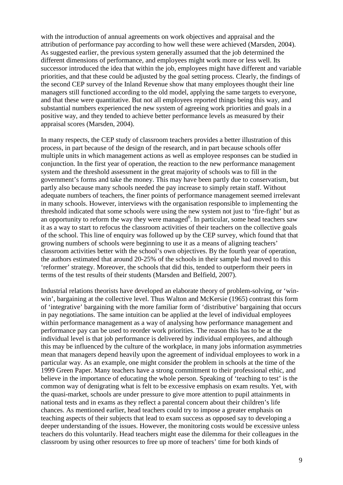with the introduction of annual agreements on work objectives and appraisal and the attribution of performance pay according to how well these were achieved (Marsden, 2004). As suggested earlier, the previous system generally assumed that the job determined the different dimensions of performance, and employees might work more or less well. Its successor introduced the idea that within the job, employees might have different and variable priorities, and that these could be adjusted by the goal setting process. Clearly, the findings of the second CEP survey of the Inland Revenue show that many employees thought their line managers still functioned according to the old model, applying the same targets to everyone, and that these were quantitative. But not all employees reported things being this way, and substantial numbers experienced the new system of agreeing work priorities and goals in a positive way, and they tended to achieve better performance levels as measured by their appraisal scores (Marsden, 2004).

In many respects, the CEP study of classroom teachers provides a better illustration of this process, in part because of the design of the research, and in part because schools offer multiple units in which management actions as well as employee responses can be studied in conjunction. In the first year of operation, the reaction to the new performance management system and the threshold assessment in the great majority of schools was to fill in the government's forms and take the money. This may have been partly due to conservatism, but partly also because many schools needed the pay increase to simply retain staff. Without adequate numbers of teachers, the finer points of performance management seemed irrelevant in many schools. However, interviews with the organisation responsible to implementing the threshold indicated that some schools were using the new system not just to 'fire-fight' but as an opportunity to reform the way they were managed $6$ . In particular, some head teachers saw it as a way to start to refocus the classroom activities of their teachers on the collective goals of the school. This line of enquiry was followed up by the CEP survey, which found that that growing numbers of schools were beginning to use it as a means of aligning teachers' classroom activities better with the school's own objectives. By the fourth year of operation, the authors estimated that around 20-25% of the schools in their sample had moved to this 'reformer' strategy. Moreover, the schools that did this, tended to outperform their peers in terms of the test results of their students (Marsden and Belfield, 2007).

Industrial relations theorists have developed an elaborate theory of problem-solving, or 'winwin', bargaining at the collective level. Thus Walton and McKersie (1965) contrast this form of 'integrative' bargaining with the more familiar form of 'distributive' bargaining that occurs in pay negotiations. The same intuition can be applied at the level of individual employees within performance management as a way of analysing how performance management and performance pay can be used to reorder work priorities. The reason this has to be at the individual level is that job performance is delivered by individual employees, and although this may be influenced by the culture of the workplace, in many jobs information asymmetries mean that managers depend heavily upon the agreement of individual employees to work in a particular way. As an example, one might consider the problem in schools at the time of the 1999 Green Paper. Many teachers have a strong commitment to their professional ethic, and believe in the importance of educating the whole person. Speaking of 'teaching to test' is the common way of denigrating what is felt to be excessive emphasis on exam results. Yet, with the quasi-market, schools are under pressure to give more attention to pupil attainments in national tests and in exams as they reflect a parental concern about their children's life chances. As mentioned earlier, head teachers could try to impose a greater emphasis on teaching aspects of their subjects that lead to exam success as opposed say to developing a deeper understanding of the issues. However, the monitoring costs would be excessive unless teachers do this voluntarily. Head teachers might ease the dilemma for their colleagues in the classroom by using other resources to free up more of teachers' time for both kinds of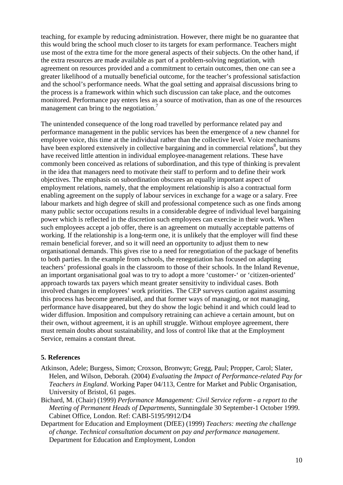teaching, for example by reducing administration. However, there might be no guarantee that this would bring the school much closer to its targets for exam performance. Teachers might use most of the extra time for the more general aspects of their subjects. On the other hand, if the extra resources are made available as part of a problem-solving negotiation, with agreement on resources provided and a commitment to certain outcomes, then one can see a greater likelihood of a mutually beneficial outcome, for the teacher's professional satisfaction and the school's performance needs. What the goal setting and appraisal discussions bring to the process is a framework within which such discussion can take place, and the outcomes monitored. Performance pay enters less as a source of motivation, than as one of the resources management can bring to the negotiation.<sup>7</sup>

The unintended consequence of the long road travelled by performance related pay and performance management in the public services has been the emergence of a new channel for employee voice, this time at the individual rather than the collective level. Voice mechanisms have been explored extensively in collective bargaining and in commercial relations<sup>8</sup>, but they have received little attention in individual employee-management relations. These have commonly been conceived as relations of subordination, and this type of thinking is prevalent in the idea that managers need to motivate their staff to perform and to define their work objectives. The emphasis on subordination obscures an equally important aspect of employment relations, namely, that the employment relationship is also a contractual form enabling agreement on the supply of labour services in exchange for a wage or a salary. Free labour markets and high degree of skill and professional competence such as one finds among many public sector occupations results in a considerable degree of individual level bargaining power which is reflected in the discretion such employees can exercise in their work. When such employees accept a job offer, there is an agreement on mutually acceptable patterns of working. If the relationship is a long-term one, it is unlikely that the employer will find these remain beneficial forever, and so it will need an opportunity to adjust them to new organisational demands. This gives rise to a need for renegotiation of the package of benefits to both parties. In the example from schools, the renegotiation has focused on adapting teachers' professional goals in the classroom to those of their schools. In the Inland Revenue, an important organisational goal was to try to adopt a more 'customer-' or 'citizen-oriented' approach towards tax payers which meant greater sensitivity to individual cases. Both involved changes in employees' work priorities. The CEP surveys caution against assuming this process has become generalised, and that former ways of managing, or not managing, performance have disappeared, but they do show the logic behind it and which could lead to wider diffusion. Imposition and compulsory retraining can achieve a certain amount, but on their own, without agreement, it is an uphill struggle. Without employee agreement, there must remain doubts about sustainability, and loss of control like that at the Employment Service, remains a constant threat.

#### **5. References**

- Atkinson, Adele; Burgess, Simon; Croxson, Bronwyn; Gregg, Paul; Propper, Carol; Slater, Helen, and Wilson, Deborah. (2004) *Evaluating the Impact of Performance-related Pay for Teachers in England*. Working Paper 04/113, Centre for Market and Public Organisation, University of Bristol, 61 pages.
- Bichard, M. (Chair) (1999) *Performance Management: Civil Service reform a report to the Meeting of Permanent Heads of Departments*, Sunningdale 30 September-1 October 1999. Cabinet Office, London. Ref: CABI-5195/9912/D4
- Department for Education and Employment (DfEE) (1999) *Teachers: meeting the challenge of change. Technical consultation document on pay and performance management*. Department for Education and Employment, London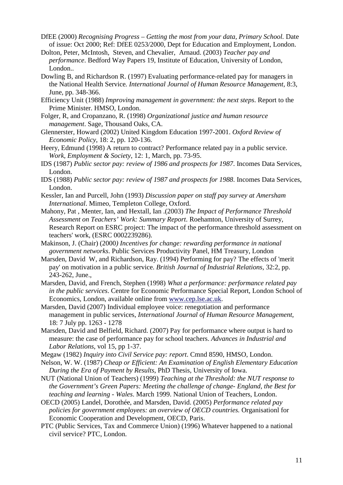- DfEE (2000) *Recognising Progress Getting the most from your data, Primary School.* Date of issue: Oct 2000; Ref: DfEE 0253/2000, Dept for Education and Employment, London.
- Dolton, Peter, McIntosh, Steven, and Chevalier, Arnaud. (2003) *Teacher pay and performance*. Bedford Way Papers 19, Institute of Education, University of London, London..
- Dowling B, and Richardson R. (1997) Evaluating performance-related pay for managers in the National Health Service*. International Journal of Human Resource Management*, 8:3, June, pp. 348-366.
- Efficiency Unit (1988) *Improving management in government: the next steps*. Report to the Prime Minister. HMSO, London.
- Folger, R, and Cropanzano, R. (1998) *Organizational justice and human resource management*. Sage, Thousand Oaks, CA.
- Glennerster, Howard (2002) United Kingdom Education 1997-2001. *Oxford Review of Economic Policy*, 18: 2, pp. 120-136.
- Heery, Edmund (1998) A return to contract? Performance related pay in a public service. *Work, Employment & Society*, 12: 1, March, pp. 73-95.
- IDS (1987) *Public sector pay: review of 1986 and prospects for 1987*. Incomes Data Services, London.
- IDS (1988) *Public sector pay: review of 1987 and prospects for 1988*. Incomes Data Services, London.
- Kessler, Ian and Purcell, John (1993) *Discussion paper on staff pay survey at Amersham International*. Mimeo, Templeton College, Oxford.
- Mahony, Pat , Menter, Ian, and Hextall, Ian .(2003) *The Impact of Performance Threshold Assessment on Teachers' Work: Summary Report*. Roehamton, University of Surrey, Research Report on ESRC project: The impact of the performance threshold assessment on teachers' work, (ESRC 0002239286).
- Makinson, J. (Chair) (2000*) Incentives for change: rewarding performance in national government networks*. Public Services Productivity Panel, HM Treasury, London
- Marsden, David W, and Richardson, Ray. (1994) Performing for pay? The effects of 'merit pay' on motivation in a public service. *British Journal of Industrial Relations*, 32:2, pp. 243-262, June.,
- Marsden, David, and French, Stephen (1998) *What a performance: performance related pay in the public services*. Centre for Economic Performance Special Report, London School of Economics, London, available online from www.cep.lse.ac.uk.
- Marsden, David (2007) Individual employee voice: renegotiation and performance management in public services, *International Journal of Human Resource Management*, 18: 7 July pp. 1263 - 1278
- Marsden, David and Belfield, Richard. (2007) Pay for performance where output is hard to measure: the case of performance pay for school teachers. *Advances in Industrial and Labor Relations*, vol 15, pp 1-37.
- Megaw (1982) *Inquiry into Civil Service pay: report*. Cmnd 8590, HMSO, London.
- Nelson, W. W. (1987) *Cheap or Efficient: An Examination of English Elementary Education During the Era of Payment by Results*, PhD Thesis, University of Iowa.
- NUT (National Union of Teachers) (1999) *Teaching at the Threshold: the NUT response to the Government's Green Papers: Meeting the challenge of change- England, the Best for teaching and learning - Wales*. March 1999. National Union of Teachers, London.
- OECD (2005) Landel, Dorothée, and Marsden, David. (2005) *Performance related pay policies for government employees: an overview of OECD countries.* Organisationl for Economic Cooperation and Development, OECD, Paris.
- PTC (Public Services, Tax and Commerce Union) (1996) Whatever happened to a national civil service? PTC, London.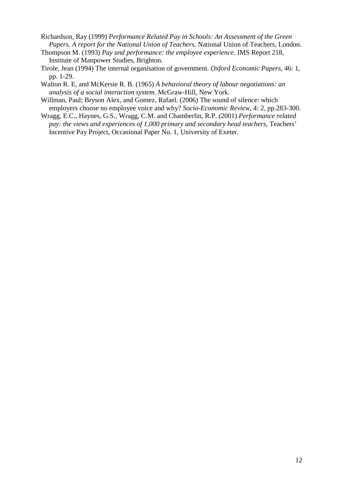- Richardson, Ray (1999) *Performance Related Pay in Schools: An Assessment of the Green Papers. A report for the National Union of Teachers*. National Union of Teachers, London.
- Thompson M. (1993) *Pay and performance: the employee experience*. IMS Report 218, Institute of Manpower Studies, Brighton.
- Tirole, Jean (1994) The internal organisation of government. *Oxford Economic Papers*, 46: 1, pp. 1-29.
- Walton R. E, and McKersie R. B. (1965) *A behavioral theory of labour negotiations: an analysis of a social interaction system*. McGraw-Hill, New York.
- Willman, Paul; Bryson Alex, and Gomez, Rafael. (2006) The sound of silence: which employers choose no employee voice and why? *Socio-Economic Review*, 4: 2, pp.283-300.
- Wragg, E.C., Haynes, G.S., Wragg, C.M. and Chamberlin, R.P. (2001) *Performance related pay: the views and experiences of 1,000 primary and secondary head teachers*, Teachers' Incentive Pay Project, Occasional Paper No. 1, University of Exeter.